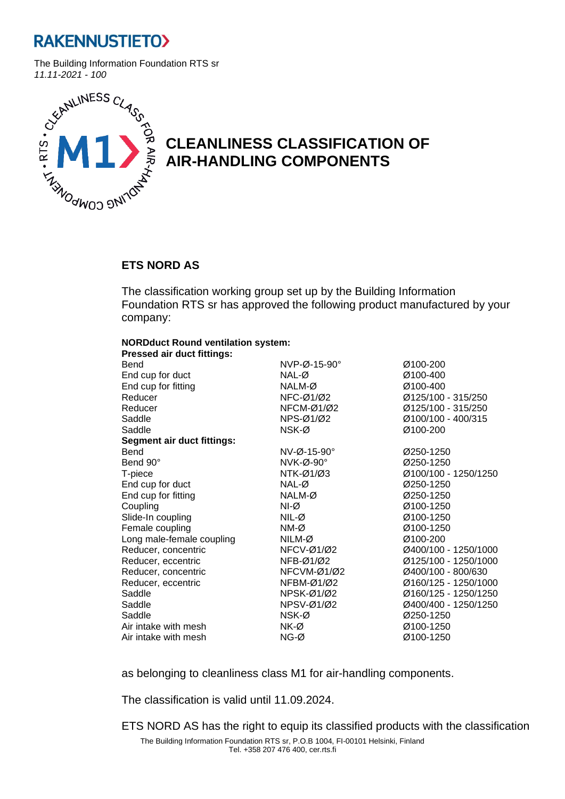

The Building Information Foundation RTS sr



## **CLEANLINESS CLASSIFICATION OF AIR-HANDLING COMPONENTS**

### **ETS NORD AS**

The classification working group set up by the Building Information Foundation RTS sr has approved the following product manufactured by your company:

#### **NORDduct Round ventilation system:**

| <b>Pressed air duct fittings:</b> |                          |                      |
|-----------------------------------|--------------------------|----------------------|
| Bend                              | NVP-Ø-15-90°             | Ø100-200             |
| End cup for duct                  | NAL-Ø                    | Ø100-400             |
| End cup for fitting               | NALM-Ø                   | Ø100-400             |
| Reducer                           | NFC-Ø1/Ø2                | Ø125/100 - 315/250   |
| Reducer                           | NFCM-Ø1/Ø2               | Ø125/100 - 315/250   |
| Saddle                            | NPS-Ø1/Ø2                | Ø100/100 - 400/315   |
| Saddle                            | NSK-Ø                    | Ø100-200             |
| <b>Segment air duct fittings:</b> |                          |                      |
| Bend                              | $N$ V-Ø-15-90 $^{\circ}$ | Ø250-1250            |
| Bend 90°                          | $NVK-Ø-90^\circ$         | Ø250-1250            |
| T-piece                           | NTK-Ø1/Ø3                | Ø100/100 - 1250/1250 |
| End cup for duct                  | NAL-Ø                    | Ø250-1250            |
| End cup for fitting               | NALM-Ø                   | Ø250-1250            |
| Coupling                          | NI-Ø                     | Ø100-1250            |
| Slide-In coupling                 | $NIL-Ø$                  | Ø100-1250            |
| Female coupling                   | NM-Ø                     | Ø100-1250            |
| Long male-female coupling         | NILM-Ø                   | Ø100-200             |
| Reducer, concentric               | NFCV-Ø1/Ø2               | Ø400/100 - 1250/1000 |
| Reducer, eccentric                | $NFB-Ø1/Ø2$              | Ø125/100 - 1250/1000 |
| Reducer, concentric               | NFCVM-Ø1/Ø2              | Ø400/100 - 800/630   |
| Reducer, eccentric                | NFBM-Ø1/Ø2               | Ø160/125 - 1250/1000 |
| Saddle                            | NPSK-Ø1/Ø2               | Ø160/125 - 1250/1250 |
| Saddle                            | NPSV-Ø1/Ø2               | Ø400/400 - 1250/1250 |
| Saddle                            | NSK-Ø                    | Ø250-1250            |
| Air intake with mesh              | NK-Ø                     | Ø100-1250            |
| Air intake with mesh              | $NG-Ø$                   | Ø100-1250            |

as belonging to cleanliness class M1 for air-handling components.

The classification is valid until 11.09.2024.

The Building Information Foundation RTS sr, P.O.B 1004, FI-00101 Helsinki, Finland Tel. +358 207 476 400, cer.rts.fi ETS NORD AS has the right to equip its classified products with the classification